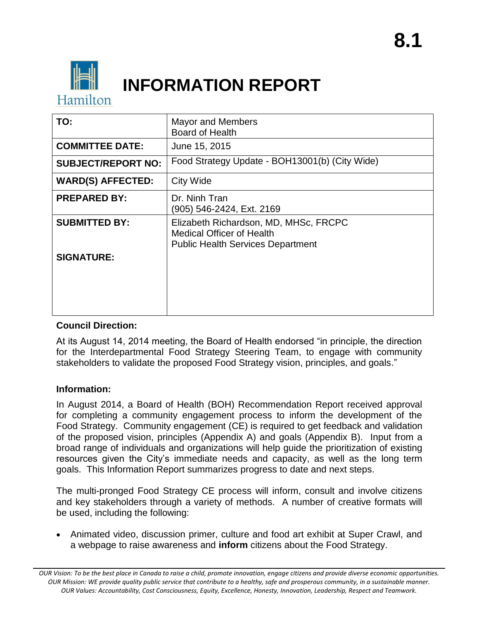

# **INFORMATION REPORT**

| TO:                       | <b>Mayor and Members</b><br><b>Board of Health</b>                                                                    |
|---------------------------|-----------------------------------------------------------------------------------------------------------------------|
| <b>COMMITTEE DATE:</b>    | June 15, 2015                                                                                                         |
| <b>SUBJECT/REPORT NO:</b> | Food Strategy Update - BOH13001(b) (City Wide)                                                                        |
| <b>WARD(S) AFFECTED:</b>  | City Wide                                                                                                             |
| <b>PREPARED BY:</b>       | Dr. Ninh Tran<br>(905) 546-2424, Ext. 2169                                                                            |
| <b>SUBMITTED BY:</b>      | Elizabeth Richardson, MD, MHSc, FRCPC<br><b>Medical Officer of Health</b><br><b>Public Health Services Department</b> |
| <b>SIGNATURE:</b>         |                                                                                                                       |

# **Council Direction:**

At its August 14, 2014 meeting, the Board of Health endorsed "in principle, the direction for the Interdepartmental Food Strategy Steering Team, to engage with community stakeholders to validate the proposed Food Strategy vision, principles, and goals."

# **Information:**

In August 2014, a Board of Health (BOH) Recommendation Report received approval for completing a community engagement process to inform the development of the Food Strategy. Community engagement (CE) is required to get feedback and validation of the proposed vision, principles (Appendix A) and goals (Appendix B). Input from a broad range of individuals and organizations will help guide the prioritization of existing resources given the City's immediate needs and capacity, as well as the long term goals. This Information Report summarizes progress to date and next steps.

The multi-pronged Food Strategy CE process will inform, consult and involve citizens and key stakeholders through a variety of methods. A number of creative formats will be used, including the following:

 Animated video, discussion primer, culture and food art exhibit at Super Crawl, and a webpage to raise awareness and **inform** citizens about the Food Strategy.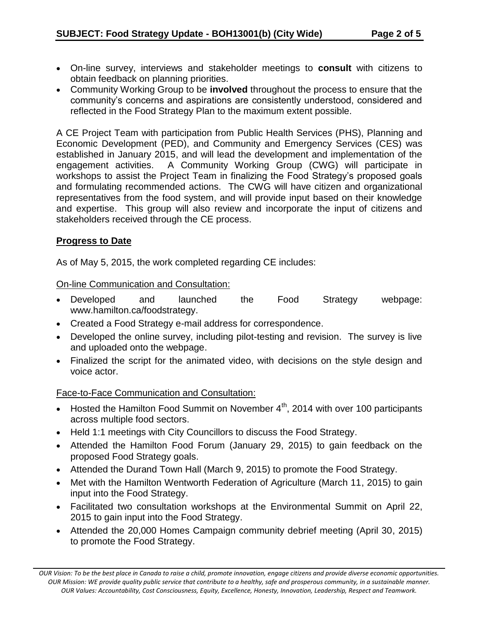- On-line survey, interviews and stakeholder meetings to **consult** with citizens to obtain feedback on planning priorities.
- Community Working Group to be **involved** throughout the process to ensure that the community's concerns and aspirations are consistently understood, considered and reflected in the Food Strategy Plan to the maximum extent possible.

A CE Project Team with participation from Public Health Services (PHS), Planning and Economic Development (PED), and Community and Emergency Services (CES) was established in January 2015, and will lead the development and implementation of the engagement activities. A Community Working Group (CWG) will participate in workshops to assist the Project Team in finalizing the Food Strategy's proposed goals and formulating recommended actions. The CWG will have citizen and organizational representatives from the food system, and will provide input based on their knowledge and expertise. This group will also review and incorporate the input of citizens and stakeholders received through the CE process.

# **Progress to Date**

As of May 5, 2015, the work completed regarding CE includes:

On-line Communication and Consultation:

- Developed and launched the Food Strategy webpage: www.hamilton.ca/foodstrategy.
- Created a Food Strategy e-mail address for correspondence.
- Developed the online survey, including pilot-testing and revision. The survey is live and uploaded onto the webpage.
- Finalized the script for the animated video, with decisions on the style design and voice actor.

# Face-to-Face Communication and Consultation:

- Hosted the Hamilton Food Summit on November  $4<sup>th</sup>$ , 2014 with over 100 participants across multiple food sectors.
- Held 1:1 meetings with City Councillors to discuss the Food Strategy.
- Attended the Hamilton Food Forum (January 29, 2015) to gain feedback on the proposed Food Strategy goals.
- Attended the Durand Town Hall (March 9, 2015) to promote the Food Strategy.
- Met with the Hamilton Wentworth Federation of Agriculture (March 11, 2015) to gain input into the Food Strategy.
- Facilitated two consultation workshops at the Environmental Summit on April 22, 2015 to gain input into the Food Strategy.
- Attended the 20,000 Homes Campaign community debrief meeting (April 30, 2015) to promote the Food Strategy.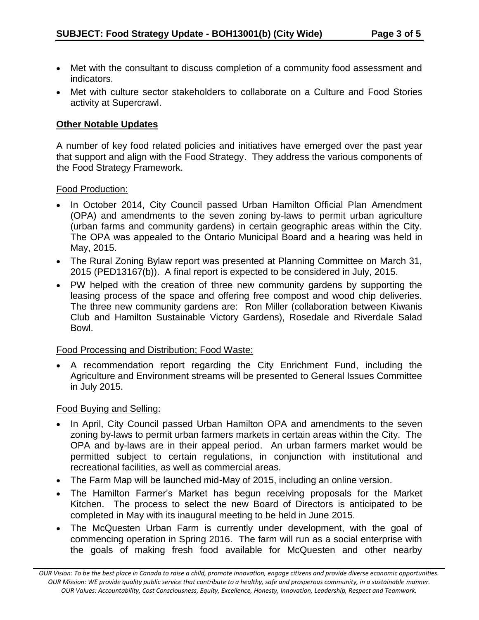- Met with the consultant to discuss completion of a community food assessment and indicators.
- Met with culture sector stakeholders to collaborate on a Culture and Food Stories activity at Supercrawl.

#### **Other Notable Updates**

A number of key food related policies and initiatives have emerged over the past year that support and align with the Food Strategy. They address the various components of the Food Strategy Framework.

#### Food Production:

- In October 2014, City Council passed Urban Hamilton Official Plan Amendment (OPA) and amendments to the seven zoning by-laws to permit urban agriculture (urban farms and community gardens) in certain geographic areas within the City. The OPA was appealed to the Ontario Municipal Board and a hearing was held in May, 2015.
- The Rural Zoning Bylaw report was presented at Planning Committee on March 31, 2015 (PED13167(b)). A final report is expected to be considered in July, 2015.
- PW helped with the creation of three new community gardens by supporting the leasing process of the space and offering free compost and wood chip deliveries. The three new community gardens are: Ron Miller (collaboration between Kiwanis Club and Hamilton Sustainable Victory Gardens), Rosedale and Riverdale Salad Bowl.

#### Food Processing and Distribution; Food Waste:

 A recommendation report regarding the City Enrichment Fund, including the Agriculture and Environment streams will be presented to General Issues Committee in July 2015.

#### Food Buying and Selling:

- In April, City Council passed Urban Hamilton OPA and amendments to the seven zoning by-laws to permit urban farmers markets in certain areas within the City. The OPA and by-laws are in their appeal period. An urban farmers market would be permitted subject to certain regulations, in conjunction with institutional and recreational facilities, as well as commercial areas.
- The Farm Map will be launched mid-May of 2015, including an online version.
- The Hamilton Farmer's Market has begun receiving proposals for the Market Kitchen. The process to select the new Board of Directors is anticipated to be completed in May with its inaugural meeting to be held in June 2015.
- The McQuesten Urban Farm is currently under development, with the goal of commencing operation in Spring 2016. The farm will run as a social enterprise with the goals of making fresh food available for McQuesten and other nearby

*OUR Vision: To be the best place in Canada to raise a child, promote innovation, engage citizens and provide diverse economic opportunities. OUR Mission: WE provide quality public service that contribute to a healthy, safe and prosperous community, in a sustainable manner. OUR Values: Accountability, Cost Consciousness, Equity, Excellence, Honesty, Innovation, Leadership, Respect and Teamwork.*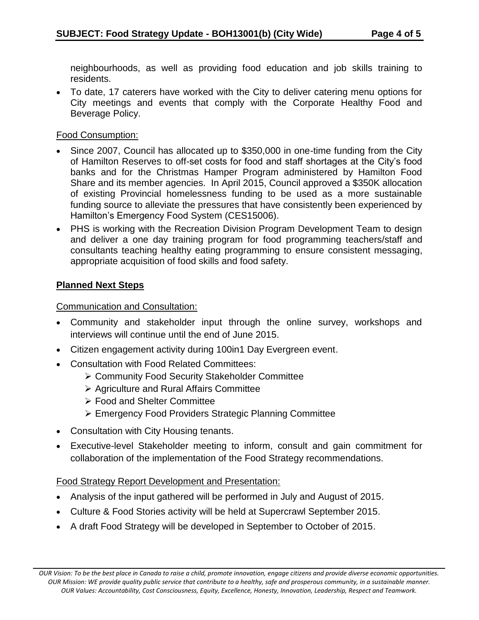neighbourhoods, as well as providing food education and job skills training to residents.

 To date, 17 caterers have worked with the City to deliver catering menu options for City meetings and events that comply with the Corporate Healthy Food and Beverage Policy.

### Food Consumption:

- Since 2007, Council has allocated up to \$350,000 in one-time funding from the City of Hamilton Reserves to off-set costs for food and staff shortages at the City's food banks and for the Christmas Hamper Program administered by Hamilton Food Share and its member agencies. In April 2015, Council approved a \$350K allocation of existing Provincial homelessness funding to be used as a more sustainable funding source to alleviate the pressures that have consistently been experienced by Hamilton's Emergency Food System (CES15006).
- PHS is working with the Recreation Division Program Development Team to design and deliver a one day training program for food programming teachers/staff and consultants teaching healthy eating programming to ensure consistent messaging, appropriate acquisition of food skills and food safety.

# **Planned Next Steps**

Communication and Consultation:

- Community and stakeholder input through the online survey, workshops and interviews will continue until the end of June 2015.
- Citizen engagement activity during 100in1 Day Evergreen event.
- Consultation with Food Related Committees:
	- Community Food Security Stakeholder Committee
	- $\triangleright$  Agriculture and Rural Affairs Committee
	- Food and Shelter Committee
	- Emergency Food Providers Strategic Planning Committee
- Consultation with City Housing tenants.
- Executive-level Stakeholder meeting to inform, consult and gain commitment for collaboration of the implementation of the Food Strategy recommendations.

# Food Strategy Report Development and Presentation:

- Analysis of the input gathered will be performed in July and August of 2015.
- Culture & Food Stories activity will be held at Supercrawl September 2015.
- A draft Food Strategy will be developed in September to October of 2015.